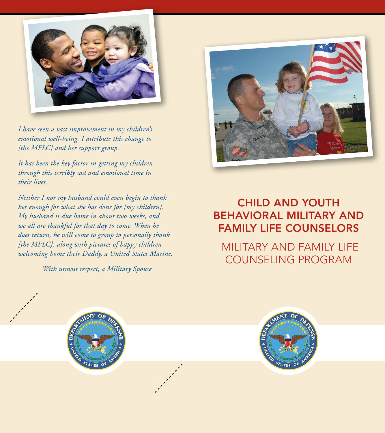

*I have seen a vast improvement in my children's emotional well-being. I attribute this change to [the MFLC] and her support group.*

*It has been the key factor in getting my children through this terribly sad and emotional time in their lives.*

*Neither I nor my husband could even begin to thank her enough for what she has done for [my children]. My husband is due home in about two weeks, and we all are thankful for that day to come. When he does return, he will come to group to personally thank [the MFLC], along with pictures of happy children welcoming home their Daddy, a United States Marine.*

*With utmost respect, a Military Spouse*



# CHILD AND YOUTH BEHAVIORAL MILITARY AND FAMILY LIFE COUNSELORS

 MILITARY AND FAMILY LIFE COUNSELING PROGRAM